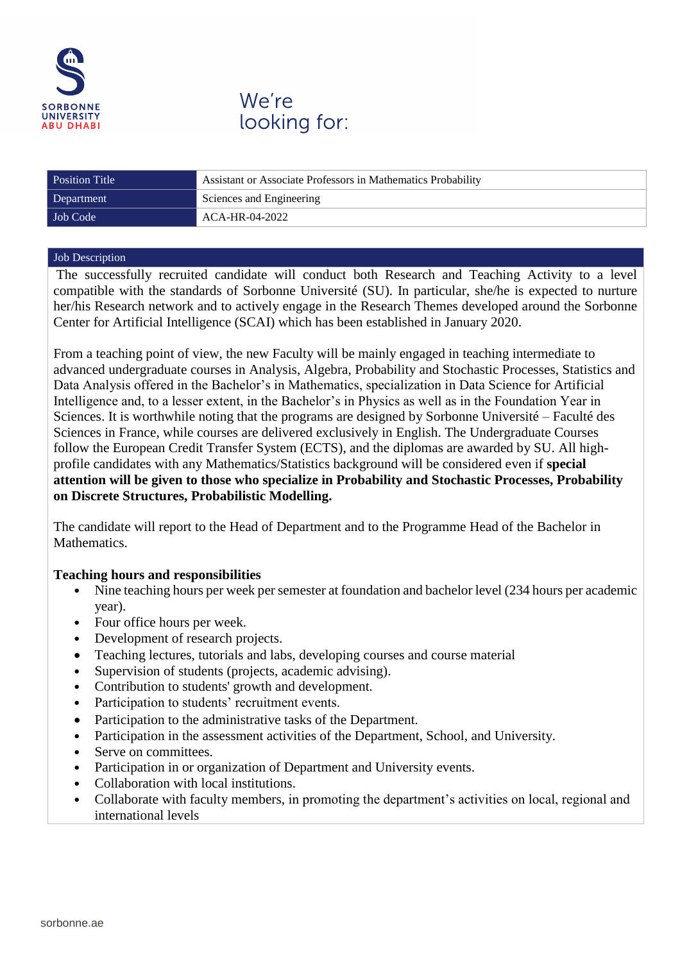

We're looking for:

| <b>Position Title</b> | Assistant or Associate Professors in Mathematics Probability |
|-----------------------|--------------------------------------------------------------|
| Department            | Sciences and Engineering                                     |
| Job Code              | ACA-HR-04-2022                                               |

## Job Description

The successfully recruited candidate will conduct both Research and Teaching Activity to a level compatible with the standards of Sorbonne Université (SU). In particular, she/he is expected to nurture her/his Research network and to actively engage in the Research Themes developed around the Sorbonne Center for Artificial Intelligence (SCAI) which has been established in January 2020.

From a teaching point of view, the new Faculty will be mainly engaged in teaching intermediate to advanced undergraduate courses in Analysis, Algebra, Probability and Stochastic Processes, Statistics and Data Analysis offered in the Bachelor's in Mathematics, specialization in Data Science for Artificial Intelligence and, to a lesser extent, in the Bachelor's in Physics as well as in the Foundation Year in Sciences. It is worthwhile noting that the programs are designed by Sorbonne Université – Faculté des Sciences in France, while courses are delivered exclusively in English. The Undergraduate Courses follow the European Credit Transfer System (ECTS), and the diplomas are awarded by SU. All highprofile candidates with any Mathematics/Statistics background will be considered even if **special attention will be given to those who specialize in Probability and Stochastic Processes, Probability on Discrete Structures, Probabilistic Modelling.**

The candidate will report to the Head of Department and to the Programme Head of the Bachelor in Mathematics.

# **Teaching hours and responsibilities**

- Nine teaching hours per week per semester at foundation and bachelor level (234 hours per academic year).
- Four office hours per week.
- Development of research projects.
- Teaching lectures, tutorials and labs, developing courses and course material
- Supervision of students (projects, academic advising).
- Contribution to students' growth and development.
- Participation to students' recruitment events.
- Participation to the administrative tasks of the Department.
- Participation in the assessment activities of the Department, School, and University.
- Serve on committees.
- Participation in or organization of Department and University events.
- Collaboration with local institutions.
- Collaborate with faculty members, in promoting the department's activities on local, regional and international levels